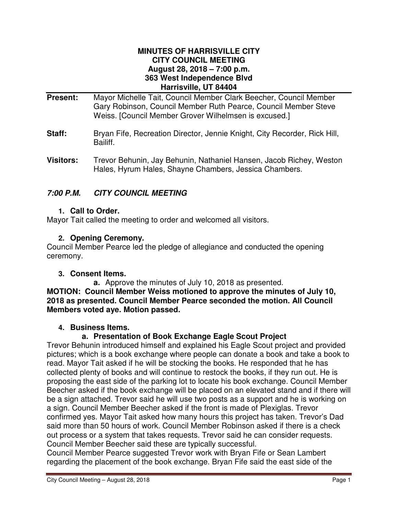#### **MINUTES OF HARRISVILLE CITY CITY COUNCIL MEETING August 28, 2018 – 7:00 p.m. 363 West Independence Blvd Harrisville, UT 84404**

- **Present:** Mayor Michelle Tait, Council Member Clark Beecher, Council Member Gary Robinson, Council Member Ruth Pearce, Council Member Steve Weiss. [Council Member Grover Wilhelmsen is excused.]
- **Staff:** Bryan Fife, Recreation Director, Jennie Knight, City Recorder, Rick Hill, Bailiff.
- **Visitors:** Trevor Behunin, Jay Behunin, Nathaniel Hansen, Jacob Richey, Weston Hales, Hyrum Hales, Shayne Chambers, Jessica Chambers.

# **7:00 P.M. CITY COUNCIL MEETING**

## **1. Call to Order.**

Mayor Tait called the meeting to order and welcomed all visitors.

## **2. Opening Ceremony.**

Council Member Pearce led the pledge of allegiance and conducted the opening ceremony.

## **3. Consent Items.**

**a.** Approve the minutes of July 10, 2018 as presented. **MOTION: Council Member Weiss motioned to approve the minutes of July 10, 2018 as presented. Council Member Pearce seconded the motion. All Council Members voted aye. Motion passed.** 

## **4. Business Items.**

## **a. Presentation of Book Exchange Eagle Scout Project**

Trevor Behunin introduced himself and explained his Eagle Scout project and provided pictures; which is a book exchange where people can donate a book and take a book to read. Mayor Tait asked if he will be stocking the books. He responded that he has collected plenty of books and will continue to restock the books, if they run out. He is proposing the east side of the parking lot to locate his book exchange. Council Member Beecher asked if the book exchange will be placed on an elevated stand and if there will be a sign attached. Trevor said he will use two posts as a support and he is working on a sign. Council Member Beecher asked if the front is made of Plexiglas. Trevor confirmed yes. Mayor Tait asked how many hours this project has taken. Trevor's Dad said more than 50 hours of work. Council Member Robinson asked if there is a check out process or a system that takes requests. Trevor said he can consider requests. Council Member Beecher said these are typically successful.

Council Member Pearce suggested Trevor work with Bryan Fife or Sean Lambert regarding the placement of the book exchange. Bryan Fife said the east side of the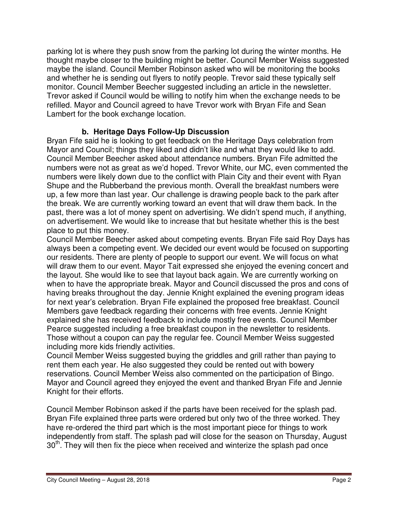parking lot is where they push snow from the parking lot during the winter months. He thought maybe closer to the building might be better. Council Member Weiss suggested maybe the island. Council Member Robinson asked who will be monitoring the books and whether he is sending out flyers to notify people. Trevor said these typically self monitor. Council Member Beecher suggested including an article in the newsletter. Trevor asked if Council would be willing to notify him when the exchange needs to be refilled. Mayor and Council agreed to have Trevor work with Bryan Fife and Sean Lambert for the book exchange location.

# **b. Heritage Days Follow-Up Discussion**

Bryan Fife said he is looking to get feedback on the Heritage Days celebration from Mayor and Council; things they liked and didn't like and what they would like to add. Council Member Beecher asked about attendance numbers. Bryan Fife admitted the numbers were not as great as we'd hoped. Trevor White, our MC, even commented the numbers were likely down due to the conflict with Plain City and their event with Ryan Shupe and the Rubberband the previous month. Overall the breakfast numbers were up, a few more than last year. Our challenge is drawing people back to the park after the break. We are currently working toward an event that will draw them back. In the past, there was a lot of money spent on advertising. We didn't spend much, if anything, on advertisement. We would like to increase that but hesitate whether this is the best place to put this money.

Council Member Beecher asked about competing events. Bryan Fife said Roy Days has always been a competing event. We decided our event would be focused on supporting our residents. There are plenty of people to support our event. We will focus on what will draw them to our event. Mayor Tait expressed she enjoyed the evening concert and the layout. She would like to see that layout back again. We are currently working on when to have the appropriate break. Mayor and Council discussed the pros and cons of having breaks throughout the day. Jennie Knight explained the evening program ideas for next year's celebration. Bryan Fife explained the proposed free breakfast. Council Members gave feedback regarding their concerns with free events. Jennie Knight explained she has received feedback to include mostly free events. Council Member Pearce suggested including a free breakfast coupon in the newsletter to residents. Those without a coupon can pay the regular fee. Council Member Weiss suggested including more kids friendly activities.

Council Member Weiss suggested buying the griddles and grill rather than paying to rent them each year. He also suggested they could be rented out with bowery reservations. Council Member Weiss also commented on the participation of Bingo. Mayor and Council agreed they enjoyed the event and thanked Bryan Fife and Jennie Knight for their efforts.

Council Member Robinson asked if the parts have been received for the splash pad. Bryan Fife explained three parts were ordered but only two of the three worked. They have re-ordered the third part which is the most important piece for things to work independently from staff. The splash pad will close for the season on Thursday, August  $30<sup>th</sup>$ . They will then fix the piece when received and winterize the splash pad once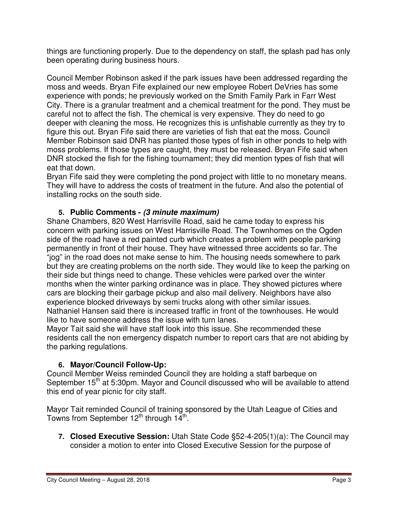things are functioning properly. Due to the dependency on staff, the splash pad has only been operating during business hours.

Council Member Robinson asked if the park issues have been addressed regarding the moss and weeds. Bryan Fife explained our new employee Robert DeVries has some experience with ponds; he previously worked on the Smith Family Park in Farr West City. There is a granular treatment and a chemical treatment for the pond. They must be careful not to affect the fish. The chemical is very expensive. They do need to go deeper with cleaning the moss. He recognizes this is unfishable currently as they try to figure this out. Bryan Fife said there are varieties of fish that eat the moss. Council Member Robinson said DNR has planted those types of fish in other ponds to help with moss problems. If those types are caught, they must be released. Bryan Fife said when DNR stocked the fish for the fishing tournament; they did mention types of fish that will eat that down.

Bryan Fife said they were completing the pond project with little to no monetary means. They will have to address the costs of treatment in the future. And also the potential of installing rocks on the south side.

## **5. Public Comments - (3 minute maximum)**

Shane Chambers, 820 West Harrisville Road, said he came today to express his concern with parking issues on West Harrisville Road. The Townhomes on the Ogden side of the road have a red painted curb which creates a problem with people parking permanently in front of their house. They have witnessed three accidents so far. The "jog" in the road does not make sense to him. The housing needs somewhere to park but they are creating problems on the north side. They would like to keep the parking on their side but things need to change. These vehicles were parked over the winter months when the winter parking ordinance was in place. They showed pictures where cars are blocking their garbage pickup and also mail delivery. Neighbors have also experience blocked driveways by semi trucks along with other similar issues. Nathaniel Hansen said there is increased traffic in front of the townhouses. He would like to have someone address the issue with turn lanes.

Mayor Tait said she will have staff look into this issue. She recommended these residents call the non emergency dispatch number to report cars that are not abiding by the parking regulations.

# **6. Mayor/Council Follow-Up:**

Council Member Weiss reminded Council they are holding a staff barbeque on September 15<sup>th</sup> at 5:30pm. Mayor and Council discussed who will be available to attend this end of year picnic for city staff.

Mayor Tait reminded Council of training sponsored by the Utah League of Cities and Towns from September 12<sup>th</sup> through 14<sup>th</sup>.

**7. Closed Executive Session:** Utah State Code §52-4-205(1)(a): The Council may consider a motion to enter into Closed Executive Session for the purpose of